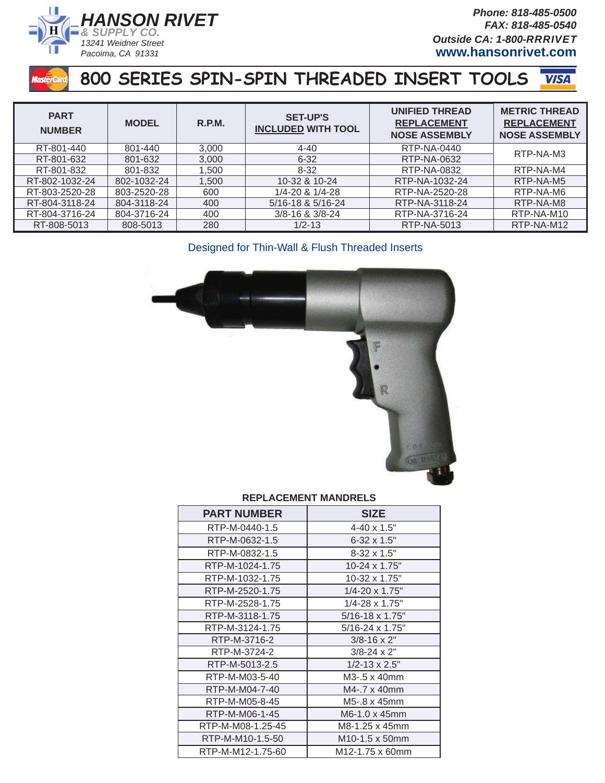

*Phone: 818-485-0500 FAX: 818-485-0540 Outside CA: 1-800-RRRIVET* **www.hansonrivet.com**

### **800 SERIES SPIN-SPIN THREADED INSERT TOOLS VISA**

| <b>PART</b><br><b>NUMBER</b> | <b>MODEL</b> | R.P.M. | <b>SET-UP'S</b><br><b>INCLUDED WITH TOOL</b> | UNIFIED THREAD<br><b>REPLACEMENT</b><br><b>NOSE ASSEMBLY</b> | <b>METRIC THREAD</b><br><b>REPLACEMENT</b><br><b>NOSE ASSEMBLY</b> |
|------------------------------|--------------|--------|----------------------------------------------|--------------------------------------------------------------|--------------------------------------------------------------------|
| RT-801-440                   | 801-440      | 3,000  | $4 - 40$                                     | RTP-NA-0440                                                  | RTP-NA-M3                                                          |
| RT-801-632                   | 801-632      | 3,000  | $6 - 32$                                     | RTP-NA-0632                                                  |                                                                    |
| RT-801-832                   | 801-832      | 1.500  | $8 - 32$                                     | RTP-NA-0832                                                  | RTP-NA-M4                                                          |
| RT-802-1032-24               | 802-1032-24  | 1.500  | 10-32 & 10-24                                | RTP-NA-1032-24                                               | RTP-NA-M5                                                          |
| RT-803-2520-28               | 803-2520-28  | 600    | 1/4-20 & 1/4-28                              | RTP-NA-2520-28                                               | RTP-NA-M6                                                          |
| RT-804-3118-24               | 804-3118-24  | 400    | 5/16-18 & 5/16-24                            | RTP-NA-3118-24                                               | RTP-NA-M8                                                          |
| RT-804-3716-24               | 804-3716-24  | 400    | $3/8 - 16$ & $3/8 - 24$                      | RTP-NA-3716-24                                               | RTP-NA-M10                                                         |
| RT-808-5013                  | 808-5013     | 280    | $1/2 - 13$                                   | RTP-NA-5013                                                  | RTP-NA-M12                                                         |

Designed for Thin-Wall & Flush Threaded Inserts



### **REPLACEMENT MANDRELS**

| <b>PART NUMBER</b> | <b>SIZE</b>              |
|--------------------|--------------------------|
| RTP-M-0440-1.5     | $4 - 40 \times 1.5$ "    |
| RTP-M-0632-1.5     | $6 - 32 \times 1.5$ "    |
| RTP-M-0832-1.5     | $8-32 \times 1.5$ "      |
| RTP-M-1024-1.75    | 10-24 x 1.75"            |
| RTP-M-1032-1.75    | 10-32 x 1.75"            |
| RTP-M-2520-1.75    | $1/4 - 20 \times 1.75$ " |
| RTP-M-2528-1.75    | 1/4-28 x 1.75"           |
| RTP-M-3118-1.75    | 5/16-18 x 1.75"          |
| RTP-M-3124-1.75    | 5/16-24 x 1.75"          |
| RTP-M-3716-2       | $3/8 - 16 \times 2$ "    |
| RTP-M-3724-2       | $3/8 - 24 \times 2$ "    |
| RTP-M-5013-2.5     | $1/2 - 13 \times 2.5$ "  |
| RTP-M-M03-5-40     | M3-.5 x 40mm             |
| RTP-M-M04-7-40     | M4-.7 x 40mm             |
| RTP-M-M05-8-45     | M5-.8 x 45mm             |
| RTP-M-M06-1-45     | M6-1.0 x 45mm            |
| RTP-M-M08-1.25-45  | M8-1.25 x 45mm           |
| RTP-M-M10-1.5-50   | M10-1.5 x 50mm           |
| RTP-M-M12-1.75-60  | M12-1.75 x 60mm          |